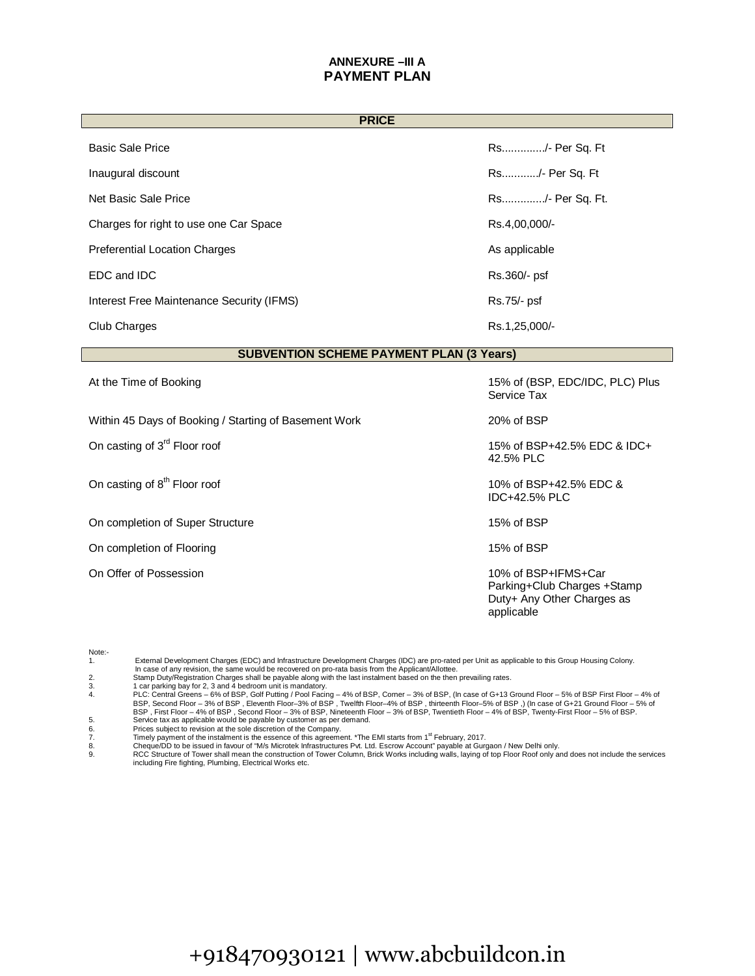## **ANNEXURE –III A PAYMENT PLAN**

| <b>PRICE</b>                                          |                                                                                                |  |
|-------------------------------------------------------|------------------------------------------------------------------------------------------------|--|
| <b>Basic Sale Price</b>                               | Rs/- Per Sq. Ft                                                                                |  |
| Inaugural discount                                    | Rs/- Per Sq. Ft                                                                                |  |
| Net Basic Sale Price                                  | Rs/- Per Sq. Ft.                                                                               |  |
| Charges for right to use one Car Space                | Rs.4,00,000/-                                                                                  |  |
| <b>Preferential Location Charges</b>                  | As applicable                                                                                  |  |
| EDC and IDC                                           | Rs.360/- psf                                                                                   |  |
| Interest Free Maintenance Security (IFMS)             | Rs.75/- psf                                                                                    |  |
| Club Charges                                          | Rs.1,25,000/-                                                                                  |  |
| <b>SUBVENTION SCHEME PAYMENT PLAN (3 Years)</b>       |                                                                                                |  |
| At the Time of Booking                                | 15% of (BSP, EDC/IDC, PLC) Plus<br>Service Tax                                                 |  |
| Within 45 Days of Booking / Starting of Basement Work | 20% of BSP                                                                                     |  |
| On casting of 3 <sup>rd</sup> Floor roof              | 15% of BSP+42.5% EDC & IDC+<br>42.5% PLC                                                       |  |
| On casting of 8 <sup>th</sup> Floor roof              | 10% of BSP+42.5% EDC &<br>IDC+42.5% PLC                                                        |  |
| On completion of Super Structure                      | 15% of BSP                                                                                     |  |
| On completion of Flooring                             | 15% of BSP                                                                                     |  |
| On Offer of Possession                                | 10% of BSP+IFMS+Car<br>Parking+Club Charges +Stamp<br>Duty+ Any Other Charges as<br>applicable |  |

| Note:- |                                                                                                                                                                  |
|--------|------------------------------------------------------------------------------------------------------------------------------------------------------------------|
|        | External Development Charges (EDC) and Infrastructure Development Charges (IDC) are pro-rated per Unit as applicable to this Group Housing Colony.               |
|        | In case of any revision, the same would be recovered on pro-rata basis from the Applicant/Allottee.                                                              |
| 2.     | Stamp Duty/Registration Charges shall be payable along with the last instalment based on the then prevailing rates.                                              |
| 3.     | car parking bay for 2, 3 and 4 bedroom unit is mandatory.                                                                                                        |
| 4.     | PLC: Central Greens – 6% of BSP, Golf Putting / Pool Facing – 4% of BSP, Corner – 3% of BSP, (In case of G+13 Ground Floor – 5% of BSP First Floor – 4% of       |
|        | BSP, Second Floor - 3% of BSP, Eleventh Floor-3% of BSP, Twelfth Floor-4% of BSP, thirteenth Floor-5% of BSP, Incase of G+21 Ground Floor - 5% of                |
|        | BSP, First Floor – 4% of BSP, Second Floor – 3% of BSP, Nineteenth Floor – 3% of BSP, Twentieth Floor – 4% of BSP, Twenty-First Floor – 5% of BSP.               |
| 5.     | Service tax as applicable would be payable by customer as per demand.                                                                                            |
| 6.     | Prices subject to revision at the sole discretion of the Company.                                                                                                |
| 7.     | Timely payment of the instalment is the essence of this agreement. *The EMI starts from 1 <sup>st</sup> February, 2017.                                          |
| 8.     | Cheque/DD to be issued in favour of "M/s Microtek Infrastructures Pvt. Ltd. Escrow Account" payable at Gurgaon / New Delhi only.                                 |
| 9.     | RCC Structure of Tower shall mean the construction of Tower Column, Brick Works including walls, laying of top Floor Roof only and does not include the services |
|        | including Fire fighting, Plumbing, Electrical Works etc.                                                                                                         |
|        |                                                                                                                                                                  |

## +918470930121 [| www.abcbui](http://www.novapdf.com/)ldcon.in